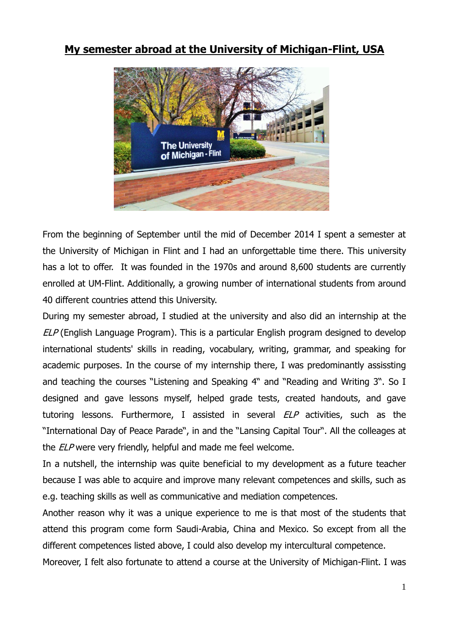## **My semester abroad at the University of Michigan-Flint, USA**



From the beginning of September until the mid of December 2014 I spent a semester at the University of Michigan in Flint and I had an unforgettable time there. This university has a lot to offer. It was founded in the 1970s and around 8,600 students are currently enrolled at UM-Flint. Additionally, a growing number of international students from around 40 different countries attend this University.

During my semester abroad, I studied at the university and also did an internship at the ELP (English Language Program). This is a particular English program designed to develop international students' skills in reading, vocabulary, writing, grammar, and speaking for academic purposes. In the course of my internship there, I was predominantly assissting and teaching the courses "Listening and Speaking 4" and "Reading and Writing 3". So I designed and gave lessons myself, helped grade tests, created handouts, and gave tutoring lessons. Furthermore, I assisted in several ELP activities, such as the "International Day of Peace Parade", in and the "Lansing Capital Tour". All the colleages at the ELP were very friendly, helpful and made me feel welcome.

In a nutshell, the internship was quite beneficial to my development as a future teacher because I was able to acquire and improve many relevant competences and skills, such as e.g. teaching skills as well as communicative and mediation competences.

Another reason why it was a unique experience to me is that most of the students that attend this program come form Saudi-Arabia, China and Mexico. So except from all the different competences listed above, I could also develop my intercultural competence.

Moreover, I felt also fortunate to attend a course at the University of Michigan-Flint. I was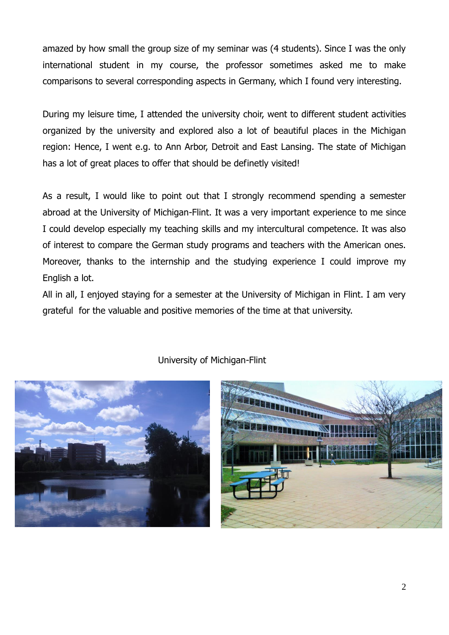amazed by how small the group size of my seminar was (4 students). Since I was the only international student in my course, the professor sometimes asked me to make comparisons to several corresponding aspects in Germany, which I found very interesting.

During my leisure time, I attended the university choir, went to different student activities organized by the university and explored also a lot of beautiful places in the Michigan region: Hence, I went e.g. to Ann Arbor, Detroit and East Lansing. The state of Michigan has a lot of great places to offer that should be definetly visited!

As a result, I would like to point out that I strongly recommend spending a semester abroad at the University of Michigan-Flint. It was a very important experience to me since I could develop especially my teaching skills and my intercultural competence. It was also of interest to compare the German study programs and teachers with the American ones. Moreover, thanks to the internship and the studying experience I could improve my English a lot.

All in all, I enjoyed staying for a semester at the University of Michigan in Flint. I am very grateful for the valuable and positive memories of the time at that university.



University of Michigan-Flint

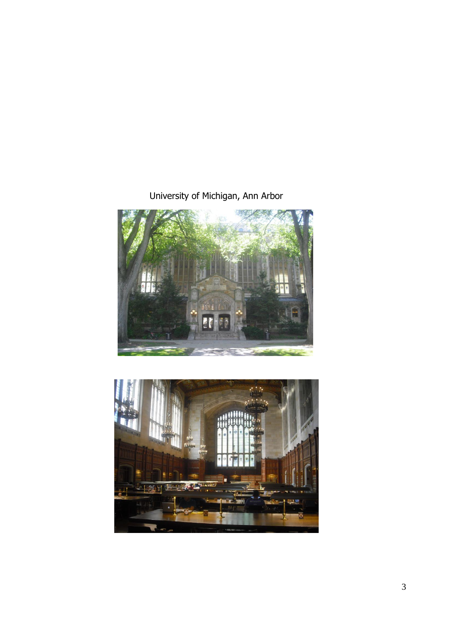## University of Michigan, Ann Arbor